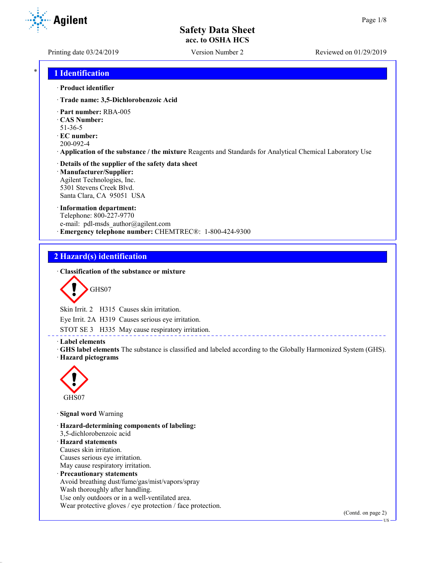**Agilent** 

Printing date 03/24/2019 Version Number 2 Reviewed on 01/29/2019

## \* **1 Identification**

#### · **Product identifier**

- · **Trade name: 3,5-Dichlorobenzoic Acid**
- · **Part number:** RBA-005
- · **CAS Number:**
- 51-36-5
- · **EC number:**
- 200-092-4
- · **Application of the substance / the mixture** Reagents and Standards for Analytical Chemical Laboratory Use

#### · **Details of the supplier of the safety data sheet** · **Manufacturer/Supplier:** Agilent Technologies, Inc. 5301 Stevens Creek Blvd.

Santa Clara, CA 95051 USA

## · **Information department:**

Telephone: 800-227-9770 e-mail: pdl-msds author@agilent.com · **Emergency telephone number:** CHEMTREC®: 1-800-424-9300

## **2 Hazard(s) identification**

## · **Classification of the substance or mixture**

$$
\bigotimes \mathrm{GHS}07
$$

Skin Irrit. 2 H315 Causes skin irritation.

Eye Irrit. 2A H319 Causes serious eye irritation.

STOT SE 3 H335 May cause respiratory irritation.

### · **Label elements**

· **GHS label elements** The substance is classified and labeled according to the Globally Harmonized System (GHS). · **Hazard pictograms**

<u>. . . . . . . . . . . . .</u>



· **Signal word** Warning

· **Hazard-determining components of labeling:** 3,5-dichlorobenzoic acid · **Hazard statements** Causes skin irritation. Causes serious eye irritation. May cause respiratory irritation. · **Precautionary statements** Avoid breathing dust/fume/gas/mist/vapors/spray Wash thoroughly after handling. Use only outdoors or in a well-ventilated area.

Wear protective gloves / eye protection / face protection.

(Contd. on page 2)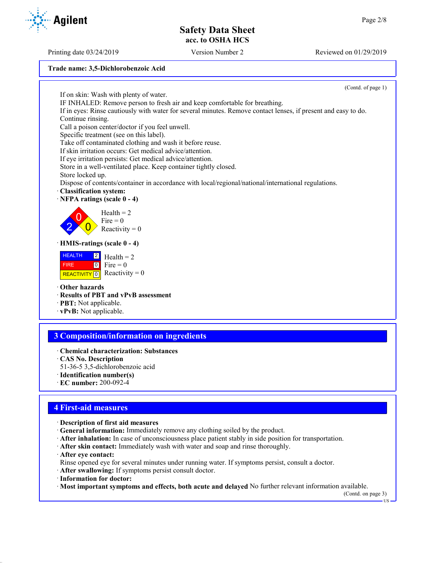Printing date 03/24/2019 Version Number 2 Reviewed on 01/29/2019

#### **Trade name: 3,5-Dichlorobenzoic Acid**

(Contd. of page 1) If on skin: Wash with plenty of water. IF INHALED: Remove person to fresh air and keep comfortable for breathing. If in eyes: Rinse cautiously with water for several minutes. Remove contact lenses, if present and easy to do. Continue rinsing. Call a poison center/doctor if you feel unwell. Specific treatment (see on this label). Take off contaminated clothing and wash it before reuse. If skin irritation occurs: Get medical advice/attention. If eye irritation persists: Get medical advice/attention. Store in a well-ventilated place. Keep container tightly closed. Store locked up. Dispose of contents/container in accordance with local/regional/national/international regulations. · **Classification system:** · **NFPA ratings (scale 0 - 4)** 2  $\overline{0}$  $\overline{0}$  $Health = 2$ Fire  $= 0$ Reactivity  $= 0$ · **HMIS-ratings (scale 0 - 4) HEALTH**  FIRE REACTIVITY  $\boxed{0}$  Reactivity = 0 2  $\boxed{0}$  $Health = 2$ Fire  $= 0$ · **Other hazards** · **Results of PBT and vPvB assessment** · **PBT:** Not applicable.

· **vPvB:** Not applicable.

## **3 Composition/information on ingredients**

- · **Chemical characterization: Substances**
- · **CAS No. Description**
- 51-36-5 3,5-dichlorobenzoic acid
- · **Identification number(s)**
- · **EC number:** 200-092-4

## **4 First-aid measures**

- · **Description of first aid measures**
- · **General information:** Immediately remove any clothing soiled by the product.
- · **After inhalation:** In case of unconsciousness place patient stably in side position for transportation.
- · **After skin contact:** Immediately wash with water and soap and rinse thoroughly.
- · **After eye contact:**

Rinse opened eye for several minutes under running water. If symptoms persist, consult a doctor.

- · **After swallowing:** If symptoms persist consult doctor.
- · **Information for doctor:**

· **Most important symptoms and effects, both acute and delayed** No further relevant information available.

(Contd. on page 3)

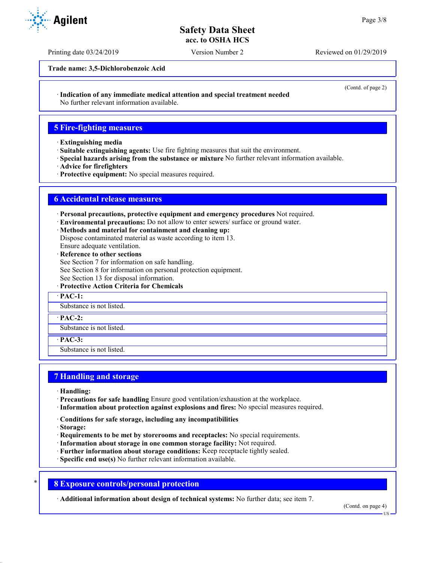Printing date 03/24/2019 Version Number 2 Reviewed on 01/29/2019

**Trade name: 3,5-Dichlorobenzoic Acid**

(Contd. of page 2)

· **Indication of any immediate medical attention and special treatment needed**

No further relevant information available.

## **5 Fire-fighting measures**

- · **Extinguishing media**
- · **Suitable extinguishing agents:** Use fire fighting measures that suit the environment.
- · **Special hazards arising from the substance or mixture** No further relevant information available.
- · **Advice for firefighters**
- · **Protective equipment:** No special measures required.

## **6 Accidental release measures**

- · **Personal precautions, protective equipment and emergency procedures** Not required.
- · **Environmental precautions:** Do not allow to enter sewers/ surface or ground water.
- · **Methods and material for containment and cleaning up:**
- Dispose contaminated material as waste according to item 13.
- Ensure adequate ventilation.
- · **Reference to other sections**
- See Section 7 for information on safe handling.
- See Section 8 for information on personal protection equipment.
- See Section 13 for disposal information.
- · **Protective Action Criteria for Chemicals**

· **PAC-1:**

Substance is not listed.

#### · **PAC-2:**

Substance is not listed.

· **PAC-3:**

Substance is not listed.

## **7 Handling and storage**

- · **Handling:**
- · **Precautions for safe handling** Ensure good ventilation/exhaustion at the workplace.
- · **Information about protection against explosions and fires:** No special measures required.
- · **Conditions for safe storage, including any incompatibilities**
- · **Storage:**
- · **Requirements to be met by storerooms and receptacles:** No special requirements.
- · **Information about storage in one common storage facility:** Not required.
- · **Further information about storage conditions:** Keep receptacle tightly sealed.
- · **Specific end use(s)** No further relevant information available.

## \* **8 Exposure controls/personal protection**

· **Additional information about design of technical systems:** No further data; see item 7.

(Contd. on page 4)

**HQ** 



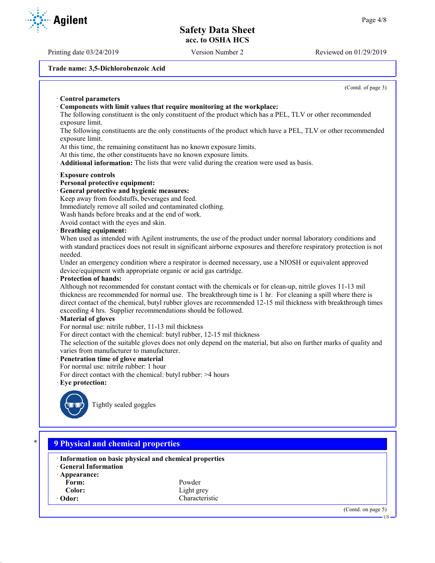Printing date 03/24/2019 Version Number 2 Reviewed on 01/29/2019

#### **Trade name: 3,5-Dichlorobenzoic Acid**

(Contd. of page 3)

· **Control parameters** · **Components with limit values that require monitoring at the workplace:** The following constituent is the only constituent of the product which has a PEL, TLV or other recommended exposure limit. The following constituents are the only constituents of the product which have a PEL, TLV or other recommended exposure limit. At this time, the remaining constituent has no known exposure limits. At this time, the other constituents have no known exposure limits. · **Additional information:** The lists that were valid during the creation were used as basis. · **Exposure controls** · **Personal protective equipment:** · **General protective and hygienic measures:** Keep away from foodstuffs, beverages and feed. Immediately remove all soiled and contaminated clothing. Wash hands before breaks and at the end of work. Avoid contact with the eyes and skin. · **Breathing equipment:** When used as intended with Agilent instruments, the use of the product under normal laboratory conditions and with standard practices does not result in significant airborne exposures and therefore respiratory protection is not needed. Under an emergency condition where a respirator is deemed necessary, use a NIOSH or equivalent approved device/equipment with appropriate organic or acid gas cartridge. · **Protection of hands:** Although not recommended for constant contact with the chemicals or for clean-up, nitrile gloves 11-13 mil thickness are recommended for normal use. The breakthrough time is 1 hr. For cleaning a spill where there is direct contact of the chemical, butyl rubber gloves are recommended 12-15 mil thickness with breakthrough times exceeding 4 hrs. Supplier recommendations should be followed. · **Material of gloves** For normal use: nitrile rubber, 11-13 mil thickness For direct contact with the chemical: butyl rubber, 12-15 mil thickness The selection of the suitable gloves does not only depend on the material, but also on further marks of quality and varies from manufacturer to manufacturer. · **Penetration time of glove material** For normal use: nitrile rubber: 1 hour For direct contact with the chemical: butyl rubber: >4 hours · **Eye protection:** Tightly sealed goggles \* **9 Physical and chemical properties** · **Information on basic physical and chemical properties** · **General Information**

- · **Appearance:**
	- **Form:** Powder
	-
- **Color:** Light grey<br> **Characteris**<br> **Characteris** Characteristic

(Contd. on page 5)

**Agilent**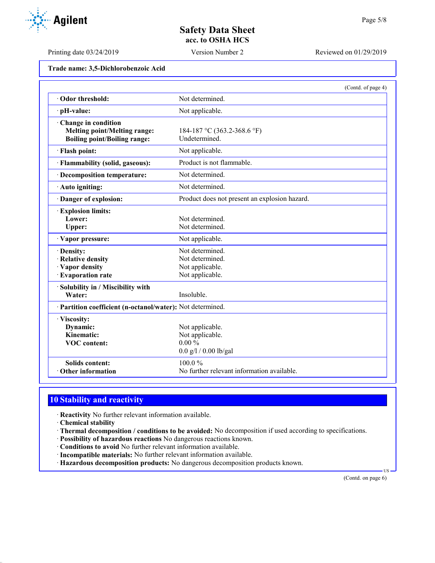**Trade name: 3,5-Dichlorobenzoic Acid**

|                                                            | (Contd. of page 4)                            |
|------------------------------------------------------------|-----------------------------------------------|
| Odor threshold:                                            | Not determined.                               |
| · pH-value:                                                | Not applicable.                               |
| Change in condition                                        |                                               |
| <b>Melting point/Melting range:</b>                        | 184-187 °C (363.2-368.6 °F)                   |
| <b>Boiling point/Boiling range:</b>                        | Undetermined.                                 |
| · Flash point:                                             | Not applicable.                               |
| · Flammability (solid, gaseous):                           | Product is not flammable.                     |
| · Decomposition temperature:                               | Not determined.                               |
| · Auto igniting:                                           | Not determined.                               |
| · Danger of explosion:                                     | Product does not present an explosion hazard. |
| · Explosion limits:                                        |                                               |
| Lower:                                                     | Not determined.                               |
| Upper:                                                     | Not determined.                               |
| · Vapor pressure:                                          | Not applicable.                               |
| · Density:                                                 | Not determined.                               |
| · Relative density                                         | Not determined.                               |
| · Vapor density                                            | Not applicable.                               |
| · Evaporation rate                                         | Not applicable.                               |
| Solubility in / Miscibility with                           |                                               |
| Water:                                                     | Insoluble.                                    |
| · Partition coefficient (n-octanol/water): Not determined. |                                               |
| · Viscosity:                                               |                                               |
| Dynamic:                                                   | Not applicable.                               |
| Kinematic:                                                 | Not applicable.                               |
| <b>VOC</b> content:                                        | $0.00\%$                                      |
|                                                            | $0.0$ g/l / 0.00 lb/gal                       |
| <b>Solids content:</b>                                     | 100.0%                                        |
| Other information                                          | No further relevant information available.    |

# **10 Stability and reactivity**

· **Reactivity** No further relevant information available.

- · **Chemical stability**
- · **Thermal decomposition / conditions to be avoided:** No decomposition if used according to specifications.
- · **Possibility of hazardous reactions** No dangerous reactions known.
- · **Conditions to avoid** No further relevant information available.
- · **Incompatible materials:** No further relevant information available.
- · **Hazardous decomposition products:** No dangerous decomposition products known.

(Contd. on page 6)

US



Printing date 03/24/2019 Version Number 2 Reviewed on 01/29/2019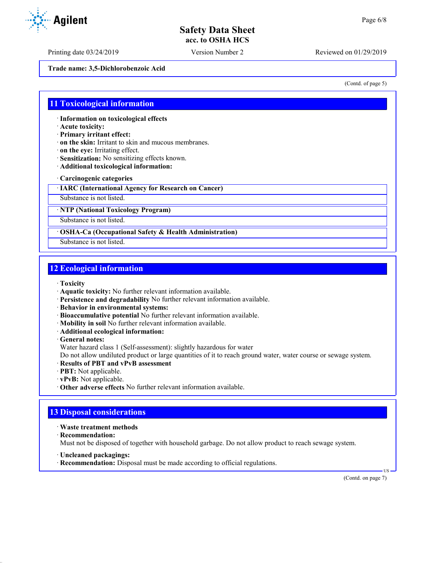Printing date 03/24/2019 Version Number 2 Reviewed on 01/29/2019

**Trade name: 3,5-Dichlorobenzoic Acid**

(Contd. of page 5)

## **11 Toxicological information**

· **Information on toxicological effects**

- · **Acute toxicity:**
- · **Primary irritant effect:**
- · **on the skin:** Irritant to skin and mucous membranes.
- · **on the eye:** Irritating effect.
- · **Sensitization:** No sensitizing effects known.
- · **Additional toxicological information:**
- · **Carcinogenic categories**
- · **IARC (International Agency for Research on Cancer)**

Substance is not listed.

· **NTP (National Toxicology Program)**

Substance is not listed.

## · **OSHA-Ca (Occupational Safety & Health Administration)**

Substance is not listed.

## **12 Ecological information**

- · **Toxicity**
- · **Aquatic toxicity:** No further relevant information available.
- · **Persistence and degradability** No further relevant information available.
- · **Behavior in environmental systems:**
- · **Bioaccumulative potential** No further relevant information available.
- · **Mobility in soil** No further relevant information available.
- · **Additional ecological information:**

· **General notes:**

Water hazard class 1 (Self-assessment): slightly hazardous for water

Do not allow undiluted product or large quantities of it to reach ground water, water course or sewage system.

- · **Results of PBT and vPvB assessment**
- · **PBT:** Not applicable.
- · **vPvB:** Not applicable.
- · **Other adverse effects** No further relevant information available.

# **13 Disposal considerations**

- · **Waste treatment methods**
- · **Recommendation:**

Must not be disposed of together with household garbage. Do not allow product to reach sewage system.

- · **Uncleaned packagings:**
- · **Recommendation:** Disposal must be made according to official regulations.

(Contd. on page 7)

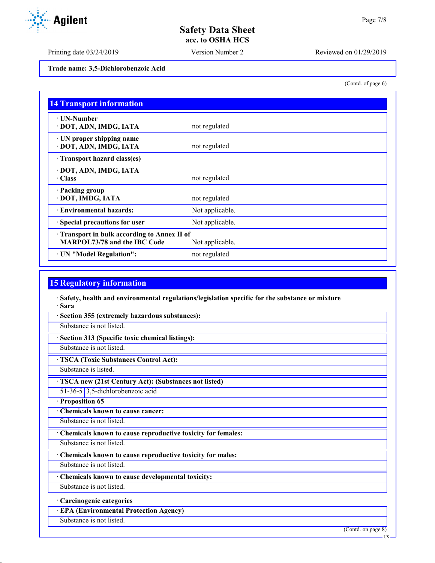Printing date 03/24/2019 Version Number 2 Reviewed on 01/29/2019

(Contd. of page 6)

**Trade name: 3,5-Dichlorobenzoic Acid**

| <b>14 Transport information</b>                           |                 |
|-----------------------------------------------------------|-----------------|
| ⋅ UN-Number<br>· DOT, ADN, IMDG, IATA                     | not regulated   |
| $\cdot$ UN proper shipping name<br>· DOT, ADN, IMDG, IATA | not regulated   |
| · Transport hazard class(es)                              |                 |
| · DOT, ADN, IMDG, IATA                                    |                 |
| $\cdot$ Class                                             | not regulated   |
| · Packing group                                           |                 |
| · DOT, IMDG, IATA                                         | not regulated   |
| · Environmental hazards:                                  | Not applicable. |
| Special precautions for user                              | Not applicable. |
| Transport in bulk according to Annex II of                |                 |
| MARPOL73/78 and the IBC Code                              | Not applicable. |
| · UN "Model Regulation":                                  | not regulated   |

## **15 Regulatory information**

· **Safety, health and environmental regulations/legislation specific for the substance or mixture** · **Sara**

· **Section 355 (extremely hazardous substances):**

Substance is not listed.

· **Section 313 (Specific toxic chemical listings):**

Substance is not listed.

· **TSCA (Toxic Substances Control Act):**

Substance is listed.

· **TSCA new (21st Century Act): (Substances not listed)**

51-36-5 3,5-dichlorobenzoic acid

· **Proposition 65**

· **Chemicals known to cause cancer:**

Substance is not listed.

· **Chemicals known to cause reproductive toxicity for females:**

Substance is not listed.

· **Chemicals known to cause reproductive toxicity for males:**

Substance is not listed.

· **Chemicals known to cause developmental toxicity:**

Substance is not listed.

· **Carcinogenic categories**

· **EPA (Environmental Protection Agency)**

Substance is not listed.

(Contd. on page 8)